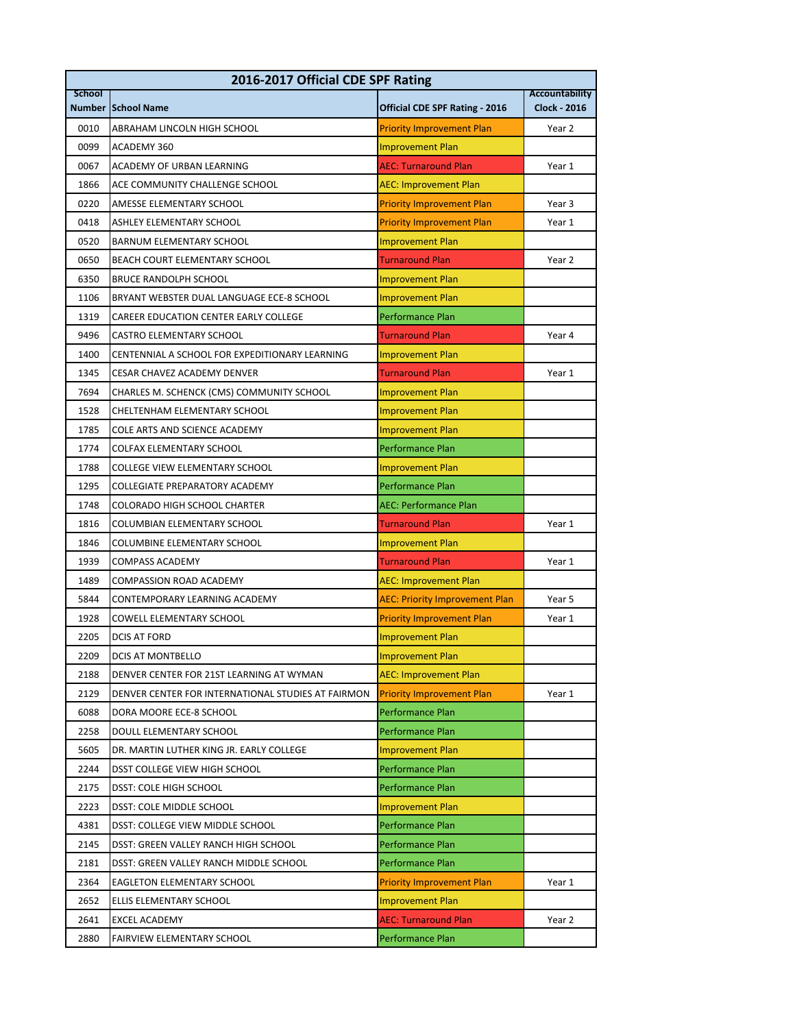| 2016-2017 Official CDE SPF Rating |                                                    |                                       |                                              |  |  |
|-----------------------------------|----------------------------------------------------|---------------------------------------|----------------------------------------------|--|--|
| <b>School</b>                     | <b>Number School Name</b>                          | <b>Official CDE SPF Rating - 2016</b> | <b>Accountability</b><br><b>Clock - 2016</b> |  |  |
| 0010                              | ABRAHAM LINCOLN HIGH SCHOOL                        | <b>Priority Improvement Plan</b>      | Year 2                                       |  |  |
| 0099                              | ACADEMY 360                                        | <b>Improvement Plan</b>               |                                              |  |  |
| 0067                              | <b>ACADEMY OF URBAN LEARNING</b>                   | <b>AEC: Turnaround Plan</b>           | Year 1                                       |  |  |
| 1866                              | ACE COMMUNITY CHALLENGE SCHOOL                     | <b>AEC: Improvement Plan</b>          |                                              |  |  |
| 0220                              | AMESSE ELEMENTARY SCHOOL                           | <b>Priority Improvement Plan</b>      | Year 3                                       |  |  |
| 0418                              | <b>ASHLEY ELEMENTARY SCHOOL</b>                    | <b>Priority Improvement Plan</b>      | Year 1                                       |  |  |
| 0520                              | BARNUM ELEMENTARY SCHOOL                           | <b>Improvement Plan</b>               |                                              |  |  |
| 0650                              | BEACH COURT ELEMENTARY SCHOOL                      | <b>Turnaround Plan</b>                | Year 2                                       |  |  |
| 6350                              | <b>BRUCE RANDOLPH SCHOOL</b>                       | <b>Improvement Plan</b>               |                                              |  |  |
| 1106                              | BRYANT WEBSTER DUAL LANGUAGE ECE-8 SCHOOL          | <b>Improvement Plan</b>               |                                              |  |  |
| 1319                              | CAREER EDUCATION CENTER EARLY COLLEGE              | Performance Plan                      |                                              |  |  |
| 9496                              | CASTRO ELEMENTARY SCHOOL                           | <b>Turnaround Plan</b>                | Year 4                                       |  |  |
| 1400                              | CENTENNIAL A SCHOOL FOR EXPEDITIONARY LEARNING     | <b>Improvement Plan</b>               |                                              |  |  |
| 1345                              | CESAR CHAVEZ ACADEMY DENVER                        | <b>Turnaround Plan</b>                | Year 1                                       |  |  |
| 7694                              | CHARLES M. SCHENCK (CMS) COMMUNITY SCHOOL          | <b>Improvement Plan</b>               |                                              |  |  |
| 1528                              | CHELTENHAM ELEMENTARY SCHOOL                       | <b>Improvement Plan</b>               |                                              |  |  |
| 1785                              | COLE ARTS AND SCIENCE ACADEMY                      | <b>Improvement Plan</b>               |                                              |  |  |
| 1774                              | <b>COLFAX ELEMENTARY SCHOOL</b>                    | Performance Plan                      |                                              |  |  |
| 1788                              | COLLEGE VIEW ELEMENTARY SCHOOL                     | <b>Improvement Plan</b>               |                                              |  |  |
| 1295                              | COLLEGIATE PREPARATORY ACADEMY                     | <b>Performance Plan</b>               |                                              |  |  |
| 1748                              | COLORADO HIGH SCHOOL CHARTER                       | <b>AEC: Performance Plan</b>          |                                              |  |  |
| 1816                              | COLUMBIAN ELEMENTARY SCHOOL                        | <b>Turnaround Plan</b>                | Year 1                                       |  |  |
| 1846                              | COLUMBINE ELEMENTARY SCHOOL                        | <b>Improvement Plan</b>               |                                              |  |  |
| 1939                              | COMPASS ACADEMY                                    | <b>Turnaround Plan</b>                | Year 1                                       |  |  |
| 1489                              | <b>COMPASSION ROAD ACADEMY</b>                     | <b>AEC: Improvement Plan</b>          |                                              |  |  |
| 5844                              | CONTEMPORARY LEARNING ACADEMY                      | <b>AEC: Priority Improvement Plan</b> | Year 5                                       |  |  |
| 1928                              | COWELL ELEMENTARY SCHOOL                           | <b>Priority Improvement Plan</b>      | Year 1                                       |  |  |
| 2205                              | <b>DCIS AT FORD</b>                                | <b>Improvement Plan</b>               |                                              |  |  |
| 2209                              | DCIS AT MONTBELLO                                  | <b>Improvement Plan</b>               |                                              |  |  |
| 2188                              | DENVER CENTER FOR 21ST LEARNING AT WYMAN           | <b>AEC: Improvement Plan</b>          |                                              |  |  |
| 2129                              | DENVER CENTER FOR INTERNATIONAL STUDIES AT FAIRMON | <b>Priority Improvement Plan</b>      | Year 1                                       |  |  |
| 6088                              | DORA MOORE ECE-8 SCHOOL                            | Performance Plan                      |                                              |  |  |
| 2258                              | DOULL ELEMENTARY SCHOOL                            | Performance Plan                      |                                              |  |  |
| 5605                              | DR. MARTIN LUTHER KING JR. EARLY COLLEGE           | <b>Improvement Plan</b>               |                                              |  |  |
| 2244                              | DSST COLLEGE VIEW HIGH SCHOOL                      | Performance Plan                      |                                              |  |  |
| 2175                              | <b>DSST: COLE HIGH SCHOOL</b>                      | <b>Performance Plan</b>               |                                              |  |  |
| 2223                              | DSST: COLE MIDDLE SCHOOL                           | <b>Improvement Plan</b>               |                                              |  |  |
| 4381                              | DSST: COLLEGE VIEW MIDDLE SCHOOL                   | Performance Plan                      |                                              |  |  |
| 2145                              | DSST: GREEN VALLEY RANCH HIGH SCHOOL               | Performance Plan                      |                                              |  |  |
| 2181                              | DSST: GREEN VALLEY RANCH MIDDLE SCHOOL             | Performance Plan                      |                                              |  |  |
| 2364                              | EAGLETON ELEMENTARY SCHOOL                         | <b>Priority Improvement Plan</b>      | Year 1                                       |  |  |
| 2652                              | ELLIS ELEMENTARY SCHOOL                            | <b>Improvement Plan</b>               |                                              |  |  |
| 2641                              | <b>EXCEL ACADEMY</b>                               | <b>AEC: Turnaround Plan</b>           | Year 2                                       |  |  |
| 2880                              | FAIRVIEW ELEMENTARY SCHOOL                         | Performance Plan                      |                                              |  |  |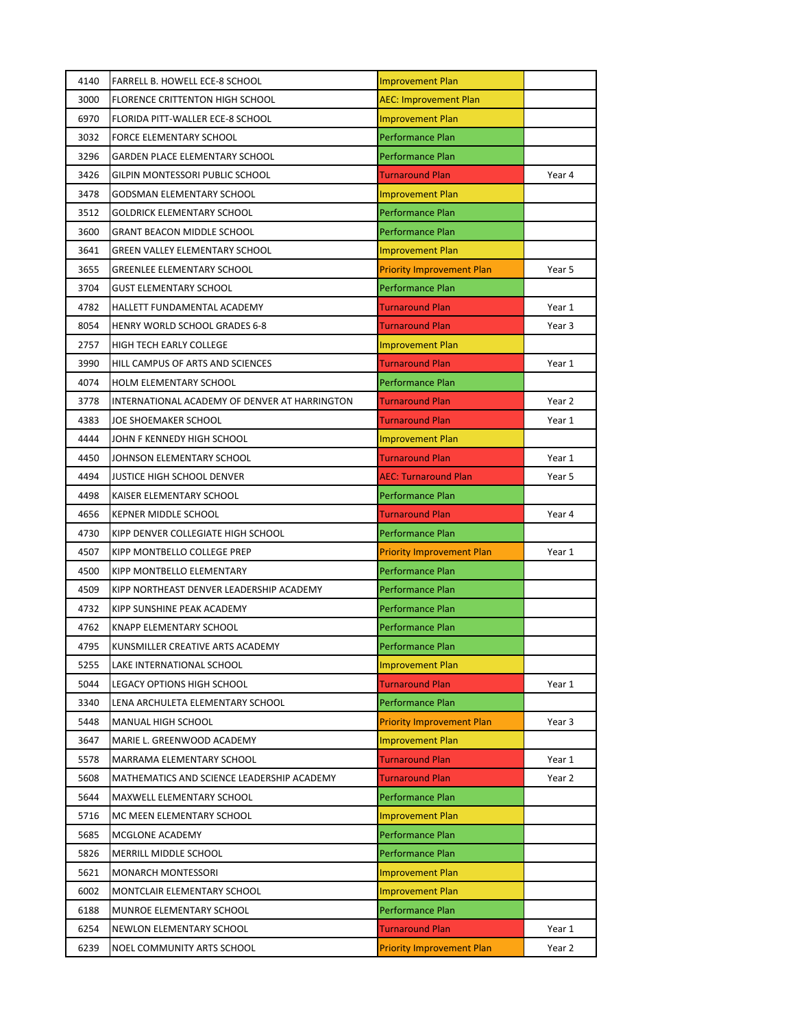| 4140 | <b>FARRELL B. HOWELL ECE-8 SCHOOL</b>         | <b>Improvement Plan</b>          |        |
|------|-----------------------------------------------|----------------------------------|--------|
| 3000 | <b>FLORENCE CRITTENTON HIGH SCHOOL</b>        | <b>AEC: Improvement Plan</b>     |        |
| 6970 | FLORIDA PITT-WALLER ECE-8 SCHOOL              | <b>Improvement Plan</b>          |        |
| 3032 | FORCE ELEMENTARY SCHOOL                       | Performance Plan                 |        |
| 3296 | GARDEN PLACE ELEMENTARY SCHOOL                | Performance Plan                 |        |
| 3426 | GILPIN MONTESSORI PUBLIC SCHOOL               | <b>Turnaround Plan</b>           | Year 4 |
| 3478 | GODSMAN ELEMENTARY SCHOOL                     | <b>Improvement Plan</b>          |        |
| 3512 | <b>GOLDRICK ELEMENTARY SCHOOL</b>             | Performance Plan                 |        |
| 3600 | <b>GRANT BEACON MIDDLE SCHOOL</b>             | Performance Plan                 |        |
| 3641 | GREEN VALLEY ELEMENTARY SCHOOL                | <b>Improvement Plan</b>          |        |
| 3655 | <b>GREENLEE ELEMENTARY SCHOOL</b>             | <b>Priority Improvement Plan</b> | Year 5 |
| 3704 | <b>GUST ELEMENTARY SCHOOL</b>                 | <b>Performance Plan</b>          |        |
| 4782 | HALLETT FUNDAMENTAL ACADEMY                   | <b>Turnaround Plan</b>           | Year 1 |
| 8054 | <b>HENRY WORLD SCHOOL GRADES 6-8</b>          | <b>Turnaround Plan</b>           | Year 3 |
| 2757 | <b>HIGH TECH EARLY COLLEGE</b>                | <b>Improvement Plan</b>          |        |
| 3990 | HILL CAMPUS OF ARTS AND SCIENCES              | <b>Turnaround Plan</b>           | Year 1 |
| 4074 | HOLM ELEMENTARY SCHOOL                        | Performance Plan                 |        |
| 3778 | INTERNATIONAL ACADEMY OF DENVER AT HARRINGTON | <b>Turnaround Plan</b>           | Year 2 |
| 4383 | JOE SHOEMAKER SCHOOL                          | <b>Turnaround Plan</b>           | Year 1 |
| 4444 | JOHN F KENNEDY HIGH SCHOOL                    | <b>Improvement Plan</b>          |        |
| 4450 | JOHNSON ELEMENTARY SCHOOL                     | <b>Turnaround Plan</b>           | Year 1 |
| 4494 | JUSTICE HIGH SCHOOL DENVER                    | <b>AEC: Turnaround Plan</b>      | Year 5 |
| 4498 | KAISER ELEMENTARY SCHOOL                      | Performance Plan                 |        |
| 4656 | <b>KEPNER MIDDLE SCHOOL</b>                   | <b>Turnaround Plan</b>           |        |
|      |                                               |                                  | Year 4 |
| 4730 | KIPP DENVER COLLEGIATE HIGH SCHOOL            | Performance Plan                 |        |
| 4507 | KIPP MONTBELLO COLLEGE PREP                   | <b>Priority Improvement Plan</b> | Year 1 |
| 4500 | KIPP MONTBELLO ELEMENTARY                     | Performance Plan                 |        |
| 4509 | KIPP NORTHEAST DENVER LEADERSHIP ACADEMY      | Performance Plan                 |        |
| 4732 | KIPP SUNSHINE PEAK ACADEMY                    | Performance Plan                 |        |
| 4762 | KNAPP ELEMENTARY SCHOOL                       | Performance Plan                 |        |
| 4795 | KUNSMILLER CREATIVE ARTS ACADEMY              | <b>Performance Plan</b>          |        |
| 5255 | LAKE INTERNATIONAL SCHOOL                     | <b>Improvement Plan</b>          |        |
| 5044 | LEGACY OPTIONS HIGH SCHOOL                    | <b>Turnaround Plan</b>           | Year 1 |
| 3340 | LENA ARCHULETA ELEMENTARY SCHOOL              | Performance Plan                 |        |
| 5448 | MANUAL HIGH SCHOOL                            | <b>Priority Improvement Plan</b> | Year 3 |
| 3647 | MARIE L. GREENWOOD ACADEMY                    | <b>Improvement Plan</b>          |        |
| 5578 | MARRAMA ELEMENTARY SCHOOL                     | <b>Turnaround Plan</b>           | Year 1 |
| 5608 | MATHEMATICS AND SCIENCE LEADERSHIP ACADEMY    | <b>Turnaround Plan</b>           | Year 2 |
| 5644 | MAXWELL ELEMENTARY SCHOOL                     | <b>Performance Plan</b>          |        |
| 5716 | MC MEEN ELEMENTARY SCHOOL                     | <b>Improvement Plan</b>          |        |
| 5685 | MCGLONE ACADEMY                               | Performance Plan                 |        |
| 5826 | MERRILL MIDDLE SCHOOL                         | <b>Performance Plan</b>          |        |
| 5621 | <b>MONARCH MONTESSORI</b>                     | <b>Improvement Plan</b>          |        |
| 6002 | MONTCLAIR ELEMENTARY SCHOOL                   | <b>Improvement Plan</b>          |        |
| 6188 | MUNROE ELEMENTARY SCHOOL                      | Performance Plan                 |        |
| 6254 | NEWLON ELEMENTARY SCHOOL                      | Turnaround Plan                  | Year 1 |